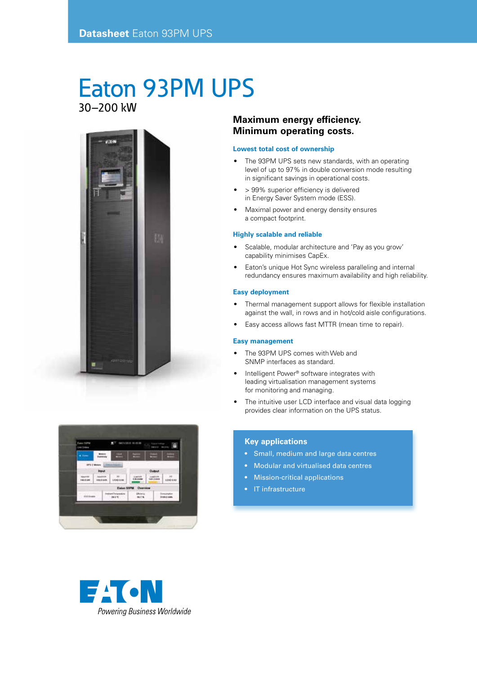## Eaton 93PM UPS 30–200 kW





### **Maximum energy efficiency. Minimum operating costs.**

#### **Lowest total cost of ownership**

- The 93PM UPS sets new standards, with an operating level of up to 97% in double conversion mode resulting in significant savings in operational costs.
- > 99% superior efficiency is delivered in Energy Saver System mode (ESS).
- Maximal power and energy density ensures a compact footprint.

#### **Highly scalable and reliable**

- Scalable, modular architecture and 'Pay as you grow' capability minimises CapEx.
- Eaton's unique Hot Sync wireless paralleling and internal redundancy ensures maximum availability and high reliability.

#### **Easy deployment**

- Thermal management support allows for flexible installation against the wall, in rows and in hot/cold aisle configurations.
- Easy access allows fast MTTR (mean time to repair).

#### **Easy management**

- The 93PM UPS comes with Web and SNMP interfaces as standard.
- Intelligent Power® software integrates with leading virtualisation management systems for monitoring and managing.
- The intuitive user LCD interface and visual data logging provides clear information on the UPS status.

#### **Key applications**

- Small, medium and large data centres
- Modular and virtualised data centres
- Mission-critical applications
- IT infrastructure